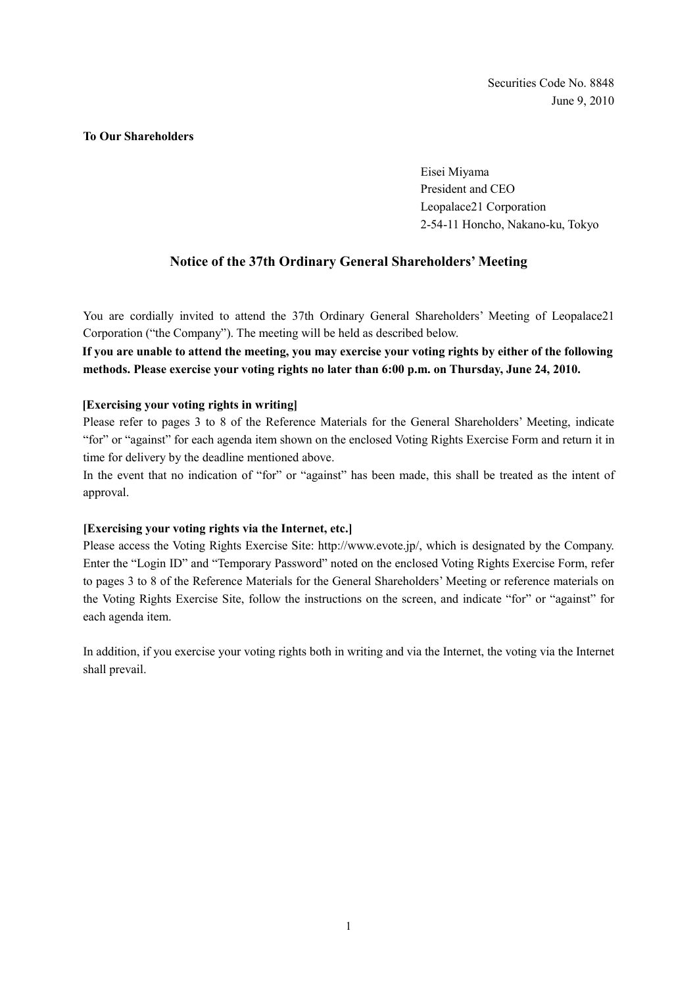#### **To Our Shareholders**

Eisei Miyama President and CEO Leopalace21 Corporation 2-54-11 Honcho, Nakano-ku, Tokyo

## **Notice of the 37th Ordinary General Shareholders' Meeting**

You are cordially invited to attend the 37th Ordinary General Shareholders' Meeting of Leopalace21 Corporation ("the Company"). The meeting will be held as described below.

**If you are unable to attend the meeting, you may exercise your voting rights by either of the following methods. Please exercise your voting rights no later than 6:00 p.m. on Thursday, June 24, 2010.** 

### **[Exercising your voting rights in writing]**

Please refer to pages 3 to 8 of the Reference Materials for the General Shareholders' Meeting, indicate "for" or "against" for each agenda item shown on the enclosed Voting Rights Exercise Form and return it in time for delivery by the deadline mentioned above.

In the event that no indication of "for" or "against" has been made, this shall be treated as the intent of approval.

#### **[Exercising your voting rights via the Internet, etc.]**

Please access the Voting Rights Exercise Site: http://www.evote.jp/, which is designated by the Company. Enter the "Login ID" and "Temporary Password" noted on the enclosed Voting Rights Exercise Form, refer to pages 3 to 8 of the Reference Materials for the General Shareholders' Meeting or reference materials on the Voting Rights Exercise Site, follow the instructions on the screen, and indicate "for" or "against" for each agenda item.

In addition, if you exercise your voting rights both in writing and via the Internet, the voting via the Internet shall prevail.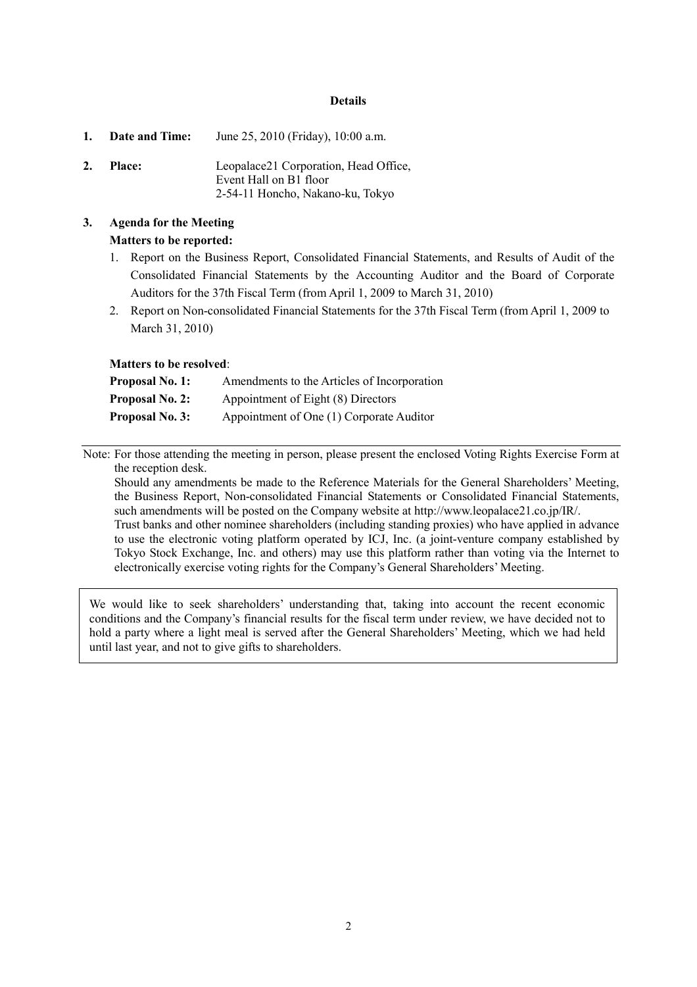#### **Details**

- **1. Date and Time:** June 25, 2010 (Friday), 10:00 a.m.
- **2. Place:** Leopalace21 Corporation, Head Office, Event Hall on B1 floor 2-54-11 Honcho, Nakano-ku, Tokyo

# **3. Agenda for the Meeting Matters to be reported:**

- 1. Report on the Business Report, Consolidated Financial Statements, and Results of Audit of the Consolidated Financial Statements by the Accounting Auditor and the Board of Corporate Auditors for the 37th Fiscal Term (from April 1, 2009 to March 31, 2010)
- 2. Report on Non-consolidated Financial Statements for the 37th Fiscal Term (from April 1, 2009 to March 31, 2010)

### **Matters to be resolved**:

| <b>Proposal No. 1:</b> | Amendments to the Articles of Incorporation |
|------------------------|---------------------------------------------|
| <b>Proposal No. 2:</b> | Appointment of Eight (8) Directors          |
| <b>Proposal No. 3:</b> | Appointment of One (1) Corporate Auditor    |

Note: For those attending the meeting in person, please present the enclosed Voting Rights Exercise Form at the reception desk.

Should any amendments be made to the Reference Materials for the General Shareholders' Meeting, the Business Report, Non-consolidated Financial Statements or Consolidated Financial Statements, such amendments will be posted on the Company website at http://www.leopalace21.co.jp/IR/. Trust banks and other nominee shareholders (including standing proxies) who have applied in advance to use the electronic voting platform operated by ICJ, Inc. (a joint-venture company established by Tokyo Stock Exchange, Inc. and others) may use this platform rather than voting via the Internet to electronically exercise voting rights for the Company's General Shareholders' Meeting.

We would like to seek shareholders' understanding that, taking into account the recent economic conditions and the Company's financial results for the fiscal term under review, we have decided not to hold a party where a light meal is served after the General Shareholders' Meeting, which we had held until last year, and not to give gifts to shareholders.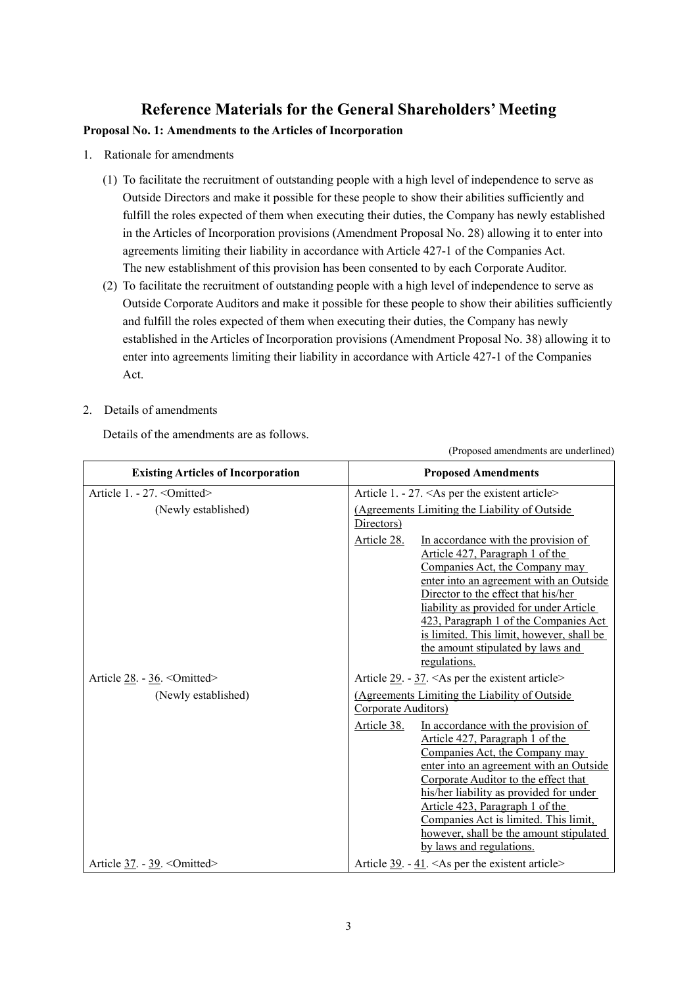# **Reference Materials for the General Shareholders' Meeting**

## **Proposal No. 1: Amendments to the Articles of Incorporation**

- 1. Rationale for amendments
	- (1) To facilitate the recruitment of outstanding people with a high level of independence to serve as Outside Directors and make it possible for these people to show their abilities sufficiently and fulfill the roles expected of them when executing their duties, the Company has newly established in the Articles of Incorporation provisions (Amendment Proposal No. 28) allowing it to enter into agreements limiting their liability in accordance with Article 427-1 of the Companies Act. The new establishment of this provision has been consented to by each Corporate Auditor.
	- (2) To facilitate the recruitment of outstanding people with a high level of independence to serve as Outside Corporate Auditors and make it possible for these people to show their abilities sufficiently and fulfill the roles expected of them when executing their duties, the Company has newly established in the Articles of Incorporation provisions (Amendment Proposal No. 38) allowing it to enter into agreements limiting their liability in accordance with Article 427-1 of the Companies Act.
- 2. Details of amendments

Details of the amendments are as follows.

| <b>Existing Articles of Incorporation</b> | <b>Proposed Amendments</b>                                                                                                                                                                                                                                                                                                                                                                               |  |
|-------------------------------------------|----------------------------------------------------------------------------------------------------------------------------------------------------------------------------------------------------------------------------------------------------------------------------------------------------------------------------------------------------------------------------------------------------------|--|
| Article 1. - 27. < Omitted>               | Article 1. - 27. < As per the existent article>                                                                                                                                                                                                                                                                                                                                                          |  |
| (Newly established)                       | (Agreements Limiting the Liability of Outside<br>Directors)                                                                                                                                                                                                                                                                                                                                              |  |
|                                           | In accordance with the provision of<br>Article 28.<br>Article 427, Paragraph 1 of the<br>Companies Act, the Company may<br>enter into an agreement with an Outside<br>Director to the effect that his/her<br>liability as provided for under Article<br>423, Paragraph 1 of the Companies Act<br>is limited. This limit, however, shall be<br>the amount stipulated by laws and<br>regulations.          |  |
| Article $28. - 36.$ < Omitted>            | Article $29. -37. <$ As per the existent article>                                                                                                                                                                                                                                                                                                                                                        |  |
| (Newly established)                       | (Agreements Limiting the Liability of Outside)<br>Corporate Auditors)                                                                                                                                                                                                                                                                                                                                    |  |
|                                           | Article 38.<br>In accordance with the provision of<br>Article 427, Paragraph 1 of the<br>Companies Act, the Company may<br>enter into an agreement with an Outside<br>Corporate Auditor to the effect that<br>his/her liability as provided for under<br>Article 423, Paragraph 1 of the<br>Companies Act is limited. This limit,<br>however, shall be the amount stipulated<br>by laws and regulations. |  |
| Article $37. - 39.$ < Omitted>            | Article $39. -41.$ <as article="" existent="" per="" the=""></as>                                                                                                                                                                                                                                                                                                                                        |  |

(Proposed amendments are underlined)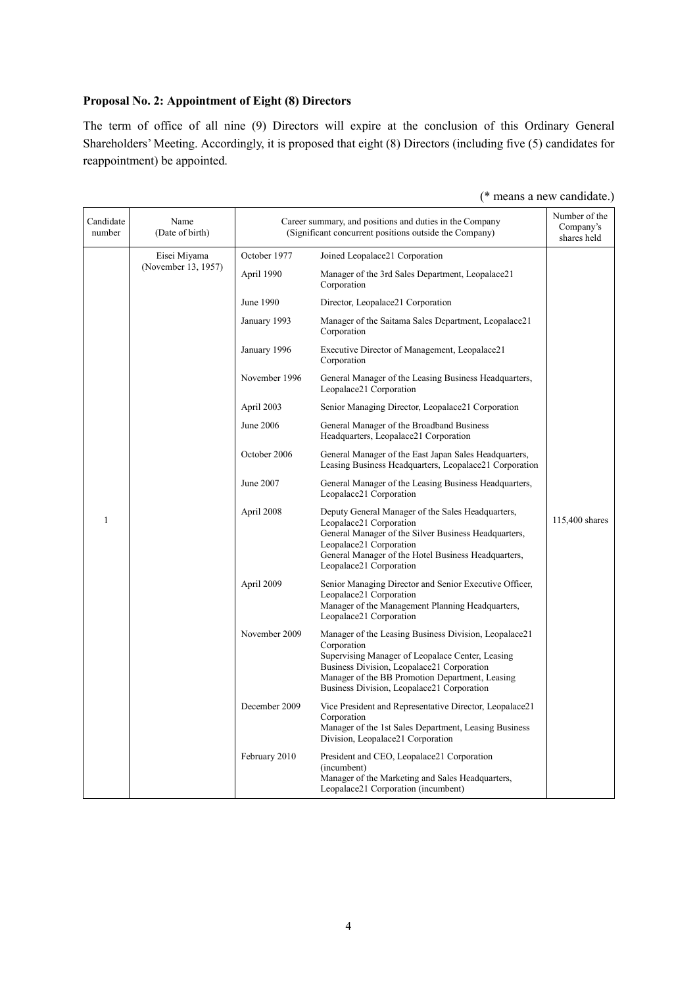# **Proposal No. 2: Appointment of Eight (8) Directors**

The term of office of all nine (9) Directors will expire at the conclusion of this Ordinary General Shareholders' Meeting. Accordingly, it is proposed that eight (8) Directors (including five (5) candidates for reappointment) be appointed.

| Candidate<br>number | Name<br>(Date of birth) | Career summary, and positions and duties in the Company<br>(Significant concurrent positions outside the Company)                                                | Number of the<br>Company's<br>shares held                                                                                                                                                                                                                               |                |
|---------------------|-------------------------|------------------------------------------------------------------------------------------------------------------------------------------------------------------|-------------------------------------------------------------------------------------------------------------------------------------------------------------------------------------------------------------------------------------------------------------------------|----------------|
|                     | Eisei Miyama            | October 1977                                                                                                                                                     | Joined Leopalace21 Corporation                                                                                                                                                                                                                                          |                |
| (November 13, 1957) | April 1990              | Manager of the 3rd Sales Department, Leopalace21<br>Corporation                                                                                                  |                                                                                                                                                                                                                                                                         |                |
|                     |                         | June 1990                                                                                                                                                        | Director, Leopalace21 Corporation                                                                                                                                                                                                                                       |                |
|                     |                         | January 1993                                                                                                                                                     | Manager of the Saitama Sales Department, Leopalace21<br>Corporation                                                                                                                                                                                                     |                |
|                     |                         | January 1996                                                                                                                                                     | Executive Director of Management, Leopalace21<br>Corporation                                                                                                                                                                                                            |                |
|                     |                         | November 1996                                                                                                                                                    | General Manager of the Leasing Business Headquarters,<br>Leopalace21 Corporation                                                                                                                                                                                        |                |
|                     |                         | April 2003                                                                                                                                                       | Senior Managing Director, Leopalace21 Corporation                                                                                                                                                                                                                       |                |
|                     |                         | June 2006                                                                                                                                                        | General Manager of the Broadband Business<br>Headquarters, Leopalace21 Corporation                                                                                                                                                                                      |                |
|                     |                         | October 2006                                                                                                                                                     | General Manager of the East Japan Sales Headquarters,<br>Leasing Business Headquarters, Leopalace21 Corporation                                                                                                                                                         |                |
|                     |                         | June 2007                                                                                                                                                        | General Manager of the Leasing Business Headquarters,<br>Leopalace21 Corporation                                                                                                                                                                                        |                |
| 1                   |                         | April 2008                                                                                                                                                       | Deputy General Manager of the Sales Headquarters,<br>Leopalace21 Corporation<br>General Manager of the Silver Business Headquarters,<br>Leopalace21 Corporation<br>General Manager of the Hotel Business Headquarters,<br>Leopalace21 Corporation                       | 115,400 shares |
|                     | April 2009              | Senior Managing Director and Senior Executive Officer,<br>Leopalace21 Corporation<br>Manager of the Management Planning Headquarters,<br>Leopalace21 Corporation |                                                                                                                                                                                                                                                                         |                |
|                     |                         | November 2009                                                                                                                                                    | Manager of the Leasing Business Division, Leopalace21<br>Corporation<br>Supervising Manager of Leopalace Center, Leasing<br>Business Division, Leopalace21 Corporation<br>Manager of the BB Promotion Department, Leasing<br>Business Division, Leopalace21 Corporation |                |
|                     |                         | December 2009                                                                                                                                                    | Vice President and Representative Director, Leopalace21<br>Corporation<br>Manager of the 1st Sales Department, Leasing Business<br>Division, Leopalace21 Corporation                                                                                                    |                |
|                     |                         | February 2010                                                                                                                                                    | President and CEO, Leopalace21 Corporation<br>(incumbent)<br>Manager of the Marketing and Sales Headquarters,<br>Leopalace21 Corporation (incumbent)                                                                                                                    |                |

#### (\* means a new candidate.)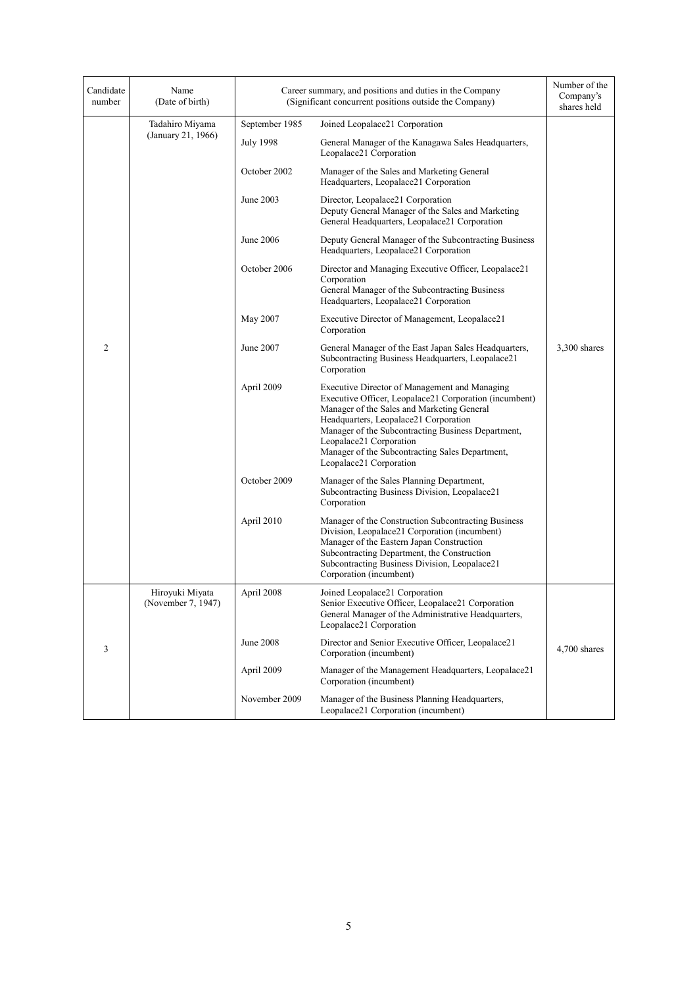| Candidate<br>number | Name<br>(Date of birth)               | Career summary, and positions and duties in the Company<br>(Significant concurrent positions outside the Company) |                                                                                                                                                                                                                                                                                                                                                               | Number of the<br>Company's<br>shares held |
|---------------------|---------------------------------------|-------------------------------------------------------------------------------------------------------------------|---------------------------------------------------------------------------------------------------------------------------------------------------------------------------------------------------------------------------------------------------------------------------------------------------------------------------------------------------------------|-------------------------------------------|
|                     | Tadahiro Miyama                       | September 1985                                                                                                    | Joined Leopalace21 Corporation                                                                                                                                                                                                                                                                                                                                |                                           |
|                     | (January 21, 1966)                    | <b>July 1998</b>                                                                                                  | General Manager of the Kanagawa Sales Headquarters,<br>Leopalace21 Corporation                                                                                                                                                                                                                                                                                |                                           |
|                     |                                       | October 2002                                                                                                      | Manager of the Sales and Marketing General<br>Headquarters, Leopalace21 Corporation                                                                                                                                                                                                                                                                           |                                           |
|                     |                                       | June 2003                                                                                                         | Director, Leopalace21 Corporation<br>Deputy General Manager of the Sales and Marketing<br>General Headquarters, Leopalace21 Corporation                                                                                                                                                                                                                       |                                           |
|                     |                                       | June 2006                                                                                                         | Deputy General Manager of the Subcontracting Business<br>Headquarters, Leopalace21 Corporation                                                                                                                                                                                                                                                                |                                           |
|                     |                                       | October 2006                                                                                                      | Director and Managing Executive Officer, Leopalace21<br>Corporation<br>General Manager of the Subcontracting Business<br>Headquarters, Leopalace21 Corporation                                                                                                                                                                                                |                                           |
|                     |                                       | May 2007                                                                                                          | Executive Director of Management, Leopalace21<br>Corporation                                                                                                                                                                                                                                                                                                  |                                           |
| $\overline{c}$      |                                       | June 2007                                                                                                         | General Manager of the East Japan Sales Headquarters,<br>Subcontracting Business Headquarters, Leopalace21<br>Corporation                                                                                                                                                                                                                                     | $3,300$ shares                            |
|                     |                                       | April 2009                                                                                                        | Executive Director of Management and Managing<br>Executive Officer, Leopalace21 Corporation (incumbent)<br>Manager of the Sales and Marketing General<br>Headquarters, Leopalace21 Corporation<br>Manager of the Subcontracting Business Department,<br>Leopalace21 Corporation<br>Manager of the Subcontracting Sales Department,<br>Leopalace21 Corporation |                                           |
|                     |                                       | October 2009                                                                                                      | Manager of the Sales Planning Department,<br>Subcontracting Business Division, Leopalace21<br>Corporation                                                                                                                                                                                                                                                     |                                           |
|                     |                                       | April 2010                                                                                                        | Manager of the Construction Subcontracting Business<br>Division, Leopalace21 Corporation (incumbent)<br>Manager of the Eastern Japan Construction<br>Subcontracting Department, the Construction<br>Subcontracting Business Division, Leopalace21<br>Corporation (incumbent)                                                                                  |                                           |
|                     | Hiroyuki Miyata<br>(November 7, 1947) | April 2008                                                                                                        | Joined Leopalace21 Corporation<br>Senior Executive Officer, Leopalace21 Corporation<br>General Manager of the Administrative Headquarters,<br>Leopalace21 Corporation                                                                                                                                                                                         |                                           |
| 3                   |                                       | June 2008                                                                                                         | Director and Senior Executive Officer, Leopalace21<br>Corporation (incumbent)                                                                                                                                                                                                                                                                                 | 4,700 shares                              |
|                     |                                       | April 2009                                                                                                        | Manager of the Management Headquarters, Leopalace21<br>Corporation (incumbent)                                                                                                                                                                                                                                                                                |                                           |
|                     |                                       | November 2009                                                                                                     | Manager of the Business Planning Headquarters,<br>Leopalace21 Corporation (incumbent)                                                                                                                                                                                                                                                                         |                                           |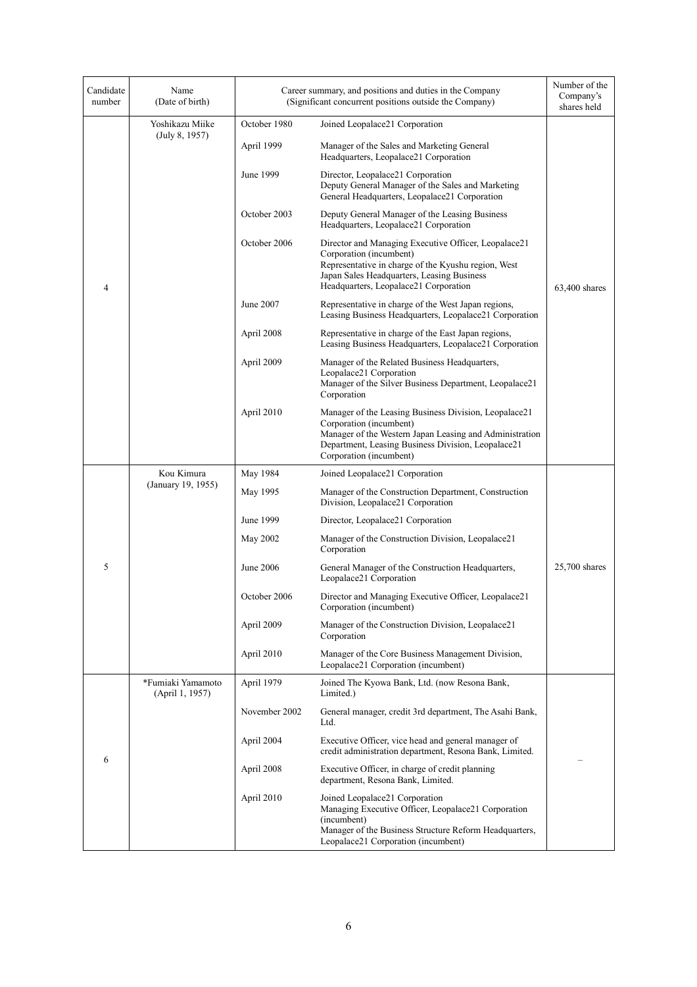| Candidate<br>number | Name<br>(Date of birth)              | Career summary, and positions and duties in the Company<br>(Significant concurrent positions outside the Company) |                                                                                                                                                                                                                               | Number of the<br>Company's<br>shares held |
|---------------------|--------------------------------------|-------------------------------------------------------------------------------------------------------------------|-------------------------------------------------------------------------------------------------------------------------------------------------------------------------------------------------------------------------------|-------------------------------------------|
|                     | Yoshikazu Miike                      | October 1980                                                                                                      | Joined Leopalace21 Corporation                                                                                                                                                                                                |                                           |
|                     | (July 8, 1957)                       | April 1999                                                                                                        | Manager of the Sales and Marketing General<br>Headquarters, Leopalace21 Corporation                                                                                                                                           |                                           |
|                     |                                      | June 1999                                                                                                         | Director, Leopalace21 Corporation<br>Deputy General Manager of the Sales and Marketing<br>General Headquarters, Leopalace21 Corporation                                                                                       | $63,400$ shares                           |
|                     |                                      | October 2003                                                                                                      | Deputy General Manager of the Leasing Business<br>Headquarters, Leopalace21 Corporation                                                                                                                                       |                                           |
| 4                   |                                      | October 2006                                                                                                      | Director and Managing Executive Officer, Leopalace21<br>Corporation (incumbent)<br>Representative in charge of the Kyushu region, West<br>Japan Sales Headquarters, Leasing Business<br>Headquarters, Leopalace21 Corporation |                                           |
|                     |                                      | June 2007                                                                                                         | Representative in charge of the West Japan regions,<br>Leasing Business Headquarters, Leopalace21 Corporation                                                                                                                 |                                           |
|                     |                                      | April 2008                                                                                                        | Representative in charge of the East Japan regions,<br>Leasing Business Headquarters, Leopalace21 Corporation                                                                                                                 |                                           |
|                     |                                      | April 2009                                                                                                        | Manager of the Related Business Headquarters,<br>Leopalace21 Corporation<br>Manager of the Silver Business Department, Leopalace21<br>Corporation                                                                             |                                           |
|                     |                                      | April 2010                                                                                                        | Manager of the Leasing Business Division, Leopalace21<br>Corporation (incumbent)<br>Manager of the Western Japan Leasing and Administration<br>Department, Leasing Business Division, Leopalace21<br>Corporation (incumbent)  |                                           |
|                     | Kou Kimura<br>(January 19, 1955)     | May 1984                                                                                                          | Joined Leopalace21 Corporation                                                                                                                                                                                                |                                           |
|                     |                                      | May 1995                                                                                                          | Manager of the Construction Department, Construction<br>Division, Leopalace21 Corporation                                                                                                                                     |                                           |
|                     |                                      | June 1999                                                                                                         | Director, Leopalace21 Corporation                                                                                                                                                                                             |                                           |
|                     |                                      | May 2002                                                                                                          | Manager of the Construction Division, Leopalace21<br>Corporation                                                                                                                                                              |                                           |
| 5                   |                                      | June 2006                                                                                                         | General Manager of the Construction Headquarters,<br>Leopalace21 Corporation                                                                                                                                                  | 25,700 shares                             |
|                     |                                      | October 2006                                                                                                      | Director and Managing Executive Officer, Leopalace21<br>Corporation (incumbent)                                                                                                                                               |                                           |
|                     |                                      | April 2009                                                                                                        | Manager of the Construction Division, Leopalace21<br>Corporation                                                                                                                                                              |                                           |
|                     |                                      | April 2010                                                                                                        | Manager of the Core Business Management Division,<br>Leopalace21 Corporation (incumbent)                                                                                                                                      |                                           |
| 6                   | *Fumiaki Yamamoto<br>(April 1, 1957) | April 1979                                                                                                        | Joined The Kyowa Bank, Ltd. (now Resona Bank,<br>Limited.)                                                                                                                                                                    |                                           |
|                     |                                      | November 2002                                                                                                     | General manager, credit 3rd department, The Asahi Bank,<br>Ltd.                                                                                                                                                               |                                           |
|                     |                                      | April 2004                                                                                                        | Executive Officer, vice head and general manager of<br>credit administration department, Resona Bank, Limited.                                                                                                                |                                           |
|                     |                                      | April 2008                                                                                                        | Executive Officer, in charge of credit planning<br>department, Resona Bank, Limited.                                                                                                                                          |                                           |
|                     |                                      | April 2010                                                                                                        | Joined Leopalace21 Corporation<br>Managing Executive Officer, Leopalace21 Corporation<br>(incumbent)<br>Manager of the Business Structure Reform Headquarters,<br>Leopalace21 Corporation (incumbent)                         |                                           |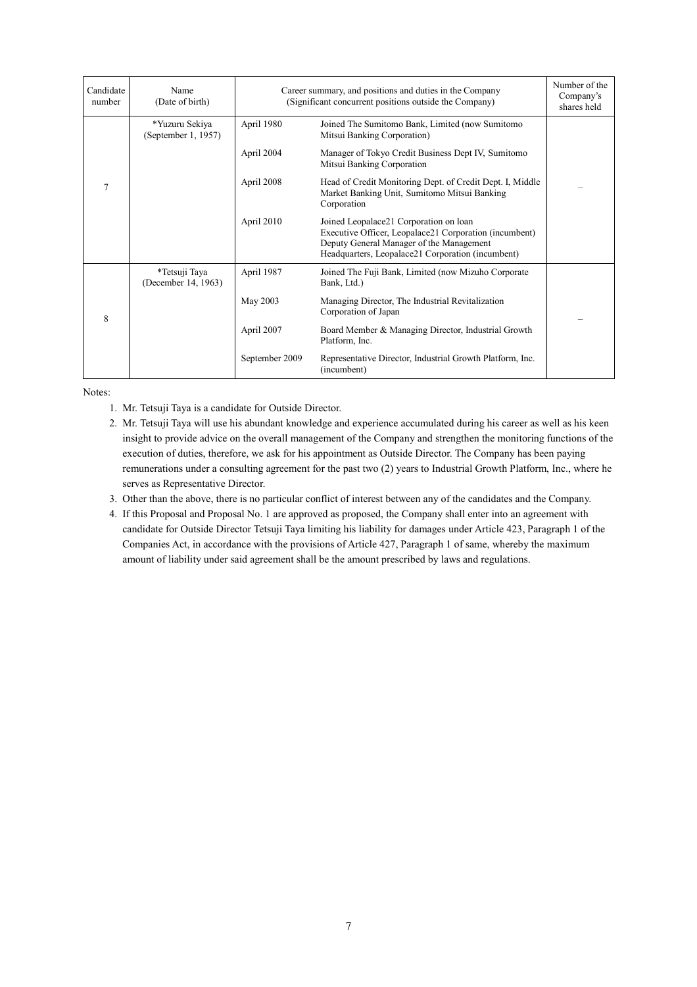| Candidate<br>number | Name<br>(Date of birth)               | Career summary, and positions and duties in the Company<br>(Significant concurrent positions outside the Company) |                                                                                                                                                                                                   | Number of the<br>Company's<br>shares held |
|---------------------|---------------------------------------|-------------------------------------------------------------------------------------------------------------------|---------------------------------------------------------------------------------------------------------------------------------------------------------------------------------------------------|-------------------------------------------|
| $\overline{7}$      | *Yuzuru Sekiya<br>(September 1, 1957) | April 1980                                                                                                        | Joined The Sumitomo Bank, Limited (now Sumitomo<br>Mitsui Banking Corporation)                                                                                                                    |                                           |
|                     |                                       | April 2004                                                                                                        | Manager of Tokyo Credit Business Dept IV, Sumitomo<br>Mitsui Banking Corporation                                                                                                                  |                                           |
|                     |                                       | April 2008                                                                                                        | Head of Credit Monitoring Dept. of Credit Dept. I, Middle<br>Market Banking Unit, Sumitomo Mitsui Banking<br>Corporation                                                                          |                                           |
|                     |                                       | April 2010                                                                                                        | Joined Leopalace21 Corporation on loan<br>Executive Officer, Leopalace21 Corporation (incumbent)<br>Deputy General Manager of the Management<br>Headquarters, Leopalace21 Corporation (incumbent) |                                           |
| 8                   | *Tetsuji Taya<br>(December 14, 1963)  | April 1987                                                                                                        | Joined The Fuji Bank, Limited (now Mizuho Corporate<br>Bank, Ltd.)                                                                                                                                |                                           |
|                     |                                       | May 2003                                                                                                          | Managing Director, The Industrial Revitalization<br>Corporation of Japan                                                                                                                          |                                           |
|                     |                                       | April 2007                                                                                                        | Board Member & Managing Director, Industrial Growth<br>Platform, Inc.                                                                                                                             |                                           |
|                     |                                       | September 2009                                                                                                    | Representative Director, Industrial Growth Platform, Inc.<br>(incumbent)                                                                                                                          |                                           |

Notes:

- 1. Mr. Tetsuji Taya is a candidate for Outside Director.
- 2. Mr. Tetsuji Taya will use his abundant knowledge and experience accumulated during his career as well as his keen insight to provide advice on the overall management of the Company and strengthen the monitoring functions of the execution of duties, therefore, we ask for his appointment as Outside Director. The Company has been paying remunerations under a consulting agreement for the past two (2) years to Industrial Growth Platform, Inc., where he serves as Representative Director.
- 3. Other than the above, there is no particular conflict of interest between any of the candidates and the Company.
- 4. If this Proposal and Proposal No. 1 are approved as proposed, the Company shall enter into an agreement with candidate for Outside Director Tetsuji Taya limiting his liability for damages under Article 423, Paragraph 1 of the Companies Act, in accordance with the provisions of Article 427, Paragraph 1 of same, whereby the maximum amount of liability under said agreement shall be the amount prescribed by laws and regulations.